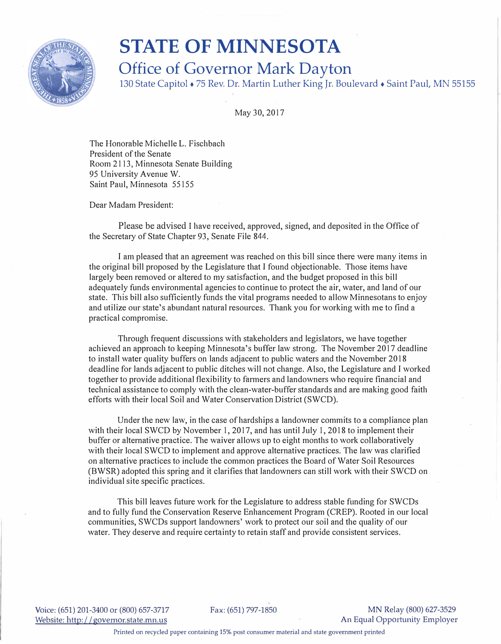

## **STATE OF MINNESOTA Office of Governor Mark Dayton**

130 State Capitol + 75 Rev. Dr. Martin Luther King Jr. Boulevard• Saint Paul, MN 55155

May 30, 2017

The Honorable Michelle L. Fischbach President of the Senate Room 2113, Minnesota Senate Building 95 University Avenue W. Saint Paul, Minnesota 55155

Dear Madam President:

Please be advised I have received, approved, signed, and deposited in the Office of the Secretary of State Chapter 93, Senate File 844.

I am pleased that an agreement was reached on this bill since there were many items in the original bill proposed by the Legislature that I found objectionable. Those items have largely been removed or altered to my satisfaction, and the budget proposed in this bill adequately funds environmental agencies to continue to protect the air, water, and land of our state. This bill also sufficiently funds the vital programs needed to allow Minnesotans to enjoy and utilize our state's abundant natural resources. Thank you for working with me to find a practical compromise.

Through frequent discussions with stakeholders and legislators, we have together achieved an approach to keeping Minnesota's buffer law strong. The November 2017 deadline to install water quality buffers on lands adjacent to public waters and the November 2018 deadline for lands adjacent to public ditches will not change. Also, the Legislature and I worked together to provide additional flexibility to farmers and landowners who require financial and technical assistance to comply with the clean-water-buffer standards and are making good faith efforts with their local Soil and Water Conservation District (SWCD).

Under the new law, in the case of hardships a landowner commits to a compliance plan with their local SWCD by November 1, 2017, and has until July 1, 2018 to implement their buffer or alternative practice. The waiver allows up to eight months to work collaboratively with their local SWCD to implement and approve alternative practices. The law was clarified on alternative practices to include the common practices the Board of Water Soil Resources (BWSR) adopted this spring and it clarifies that landowners can still work with their SWCD on individual site specific practices.

This bill leaves future work for the Legislature to address stable funding for SWCDs and to fully fund the Conservation Reserve Enhancement Program (CREP). Rooted in our local communities, SWCDs support landowners' work to protect our soil and the quality of our water. They deserve and require certainty to retain staff and provide consistent services.

Voice: (651) 201-3400 or (800) 657-3717 Website: http://governor.state.mn.us

Fax: (651) 797-1850 MN Relay (800) 627-3529 An Equal Opportunity Employer